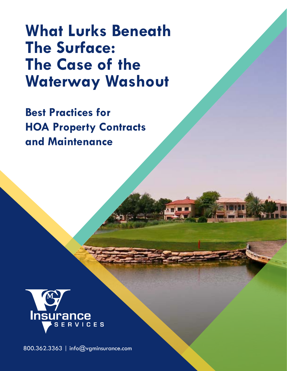**What Lurks Beneath The Surface: The Case of the Waterway Washout** 

**Best Practices for HOA Property Contracts and Maintenance** 



800.362.3363 | [info@vgminsurance.com](mailto:info%40vgminsurance.com?subject=)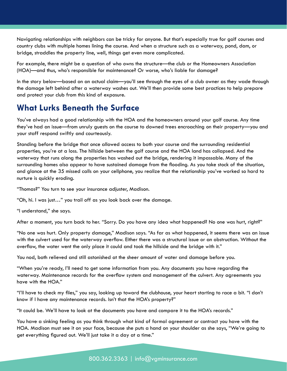Navigating relationships with neighbors can be tricky for anyone. But that's especially true for golf courses and country clubs with multiple homes lining the course. And when a structure such as a waterway, pond, dam, or bridge, straddles the property line, well, things get even more complicated.

For example, there might be a question of who owns the structure—the club or the Homeowners Association (HOA)—and thus, who's responsible for maintenance? Or worse, who's liable for damage?

In the story below—based on an actual claim—you'll see through the eyes of a club owner as they wade through the damage left behind after a waterway washes out. We'll then provide some best practices to help prepare and protect your club from this kind of exposure.

## **What Lurks Beneath the Surface**

You've always had a good relationship with the HOA and the homeowners around your golf course. Any time they've had an issue—from unruly guests on the course to downed trees encroaching on their property—you and your staff respond swiftly and courteously.

Standing before the bridge that once allowed access to both your course and the surrounding residential properties, you're at a loss. The hillside between the golf course and the HOA land has collapsed. And the waterway that runs along the properties has washed out the bridge, rendering it impassable. Many of the surrounding homes also appear to have sustained damage from the flooding. As you take stock of the situation, and glance at the 35 missed calls on your cellphone, you realize that the relationship you've worked so hard to nurture is quickly eroding.

"Thomas?" You turn to see your insurance adjuster, Madison.

"Oh, hi. I was just…" you trail off as you look back over the damage.

"I understand," she says.

After a moment, you turn back to her. "Sorry. Do you have any idea what happened? No one was hurt, right?"

"No one was hurt. Only property damage," Madison says. "As far as what happened, it seems there was an issue with the culvert used for the waterway overflow. Either there was a structural issue or an obstruction. Without the overflow, the water went the only place it could and took the hillside and the bridge with it."

You nod, both relieved and still astonished at the sheer amount of water and damage before you.

"When you're ready, I'll need to get some information from you. Any documents you have regarding the waterway. Maintenance records for the overflow system and management of the culvert. Any agreements you have with the HOA."

"I'll have to check my files," you say, looking up toward the clubhouse, your heart starting to race a bit. "I don't know if I have any maintenance records. Isn't that the HOA's property?"

"It could be. We'll have to look at the documents you have and compare it to the HOA's records."

You have a sinking feeling as you think through what kind of formal agreement or contract you have with the HOA. Madison must see it on your face, because she puts a hand on your shoulder as she says, "We're going to get everything figured out. We'll just take it a day at a time."